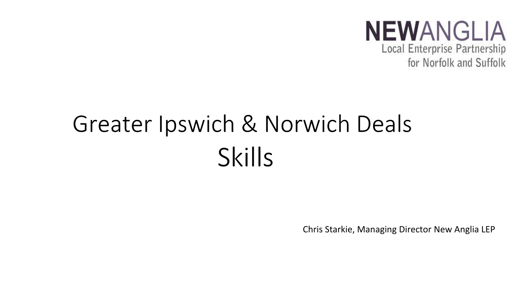

# Greater Ipswich & Norwich Deals **Skills**

Chris Starkie, Managing Director New Anglia LEP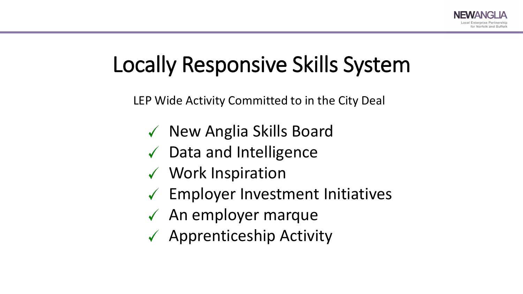### Locally Responsive Skills System

LEP Wide Activity Committed to in the City Deal

- $\checkmark$  New Anglia Skills Board
- $\sqrt{\phantom{a}}$  Data and Intelligence
- Work Inspiration
- $\checkmark$  Employer Investment Initiatives
- $\sqrt{\phantom{a}}$  An employer marque
- $\checkmark$  Apprenticeship Activity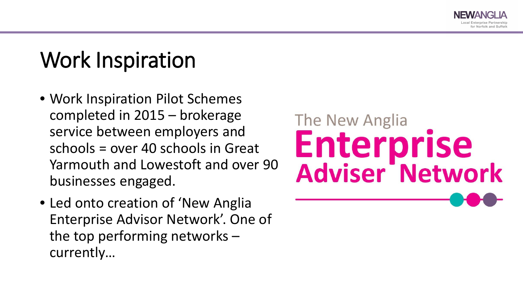

## Work Inspiration

- Work Inspiration Pilot Schemes completed in 2015 – brokerage service between employers and schools = over 40 schools in Great Yarmouth and Lowestoft and over 90 businesses engaged.
- Led onto creation of 'New Anglia Enterprise Advisor Network'. One of the top performing networks – currently…

# The New Anglia Enterprise<br>Adviser Network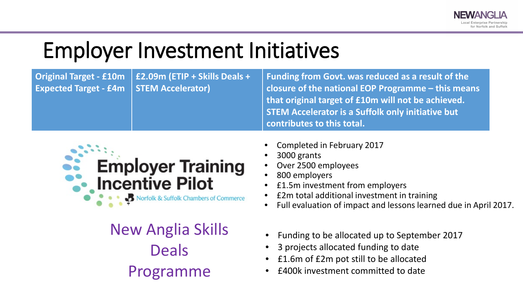### Employer Investment Initiatives

|                                             | Original Target - $£10m$   $£2.09m$ (ETIP + Skills Deals + | Funding from Govt. was reduced as a result of the  |
|---------------------------------------------|------------------------------------------------------------|----------------------------------------------------|
| Expected Target - $f4m$   STEM Accelerator) |                                                            | closure of the national EOP Programme - this means |
|                                             |                                                            | that original target of £10m will not be achieved. |
|                                             |                                                            | STEM Accelerator is a Suffolk only initiative but  |
|                                             |                                                            | contributes to this total.                         |



New Anglia Skills Deals Programme

- Completed in February 2017
- 3000 grants
- Over 2500 employees
- 800 employers
- £1.5m investment from employers
- £2m total additional investment in training
- Full evaluation of impact and lessons learned due in April 2017.
- Funding to be allocated up to September 2017
- 3 projects allocated funding to date
- £1.6m of £2m pot still to be allocated
- £400k investment committed to date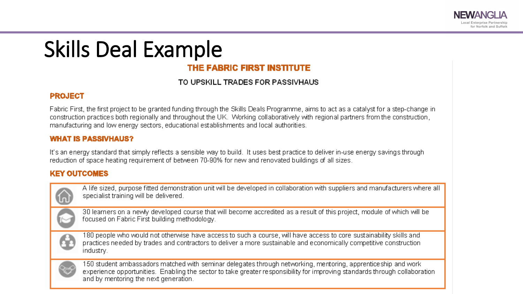## Skills Deal Example

### THE FABRIC FIRST INSTITUTE

#### TO UPSKILL TRADES FOR PASSIVHAUS

#### **PROJECT**

Fabric First, the first project to be granted funding through the Skills Deals Programme, aims to act as a catalyst for a step-change in construction practices both regionally and throughout the UK. Working collaboratively with regional partners from the construction, manufacturing and low energy sectors, educational establishments and local authorities.

#### **WHAT IS PASSIVHAUS?**

It's an energy standard that simply reflects a sensible way to build. It uses best practice to deliver in-use energy savings through reduction of space heating requirement of between 70-90% for new and renovated buildings of all sizes.

#### **KEY OUTCOMES**

A life sized, purpose fitted demonstration unit will be developed in collaboration with suppliers and manufacturers where all specialist training will be delivered.

30 learners on a newly developed course that will become accredited as a result of this project, module of which will be focused on Fabric First building methodology.

180 people who would not otherwise have access to such a course, will have access to core sustainability skills and practices needed by trades and contractors to deliver a more sustainable and economically competitive construction industry.



150 student ambassadors matched with seminar delegates through networking, mentoring, apprenticeship and work experience opportunities. Enabling the sector to take greater responsibility for improving standards through collaboration and by mentoring the next generation.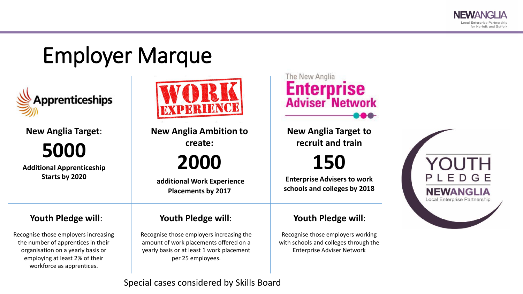### Employer Marque



**New Anglia Target**:

**5000**

**Additional Apprenticeship Starts by 2020**

Recognise those employers increasing the number of apprentices in their organisation on a yearly basis or employing at least 2% of their workforce as apprentices.



**New Anglia Ambition to create:**

### **2000**

**additional Work Experience Placements by 2017**

### **Youth Pledge will**: **Youth Pledge will**: **Youth Pledge will**:

Recognise those employers increasing the amount of work placements offered on a yearly basis or at least 1 work placement per 25 employees.

The New Anglia **Enterprise**<br>Adviser Network

**New Anglia Target to recruit and train**

**150**

**Enterprise Advisers to work schools and colleges by 2018**

Recognise those employers working with schools and colleges through the Enterprise Adviser Network



Special cases considered by Skills Board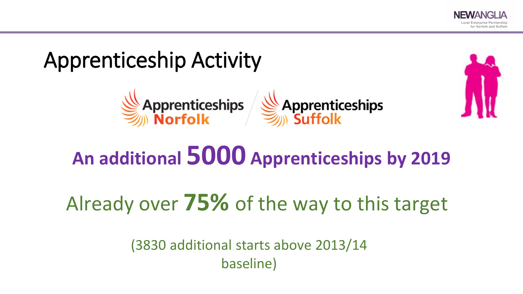

### Apprenticeship Activity





Already over **75%** of the way to this target

(3830 additional starts above 2013/14 baseline)